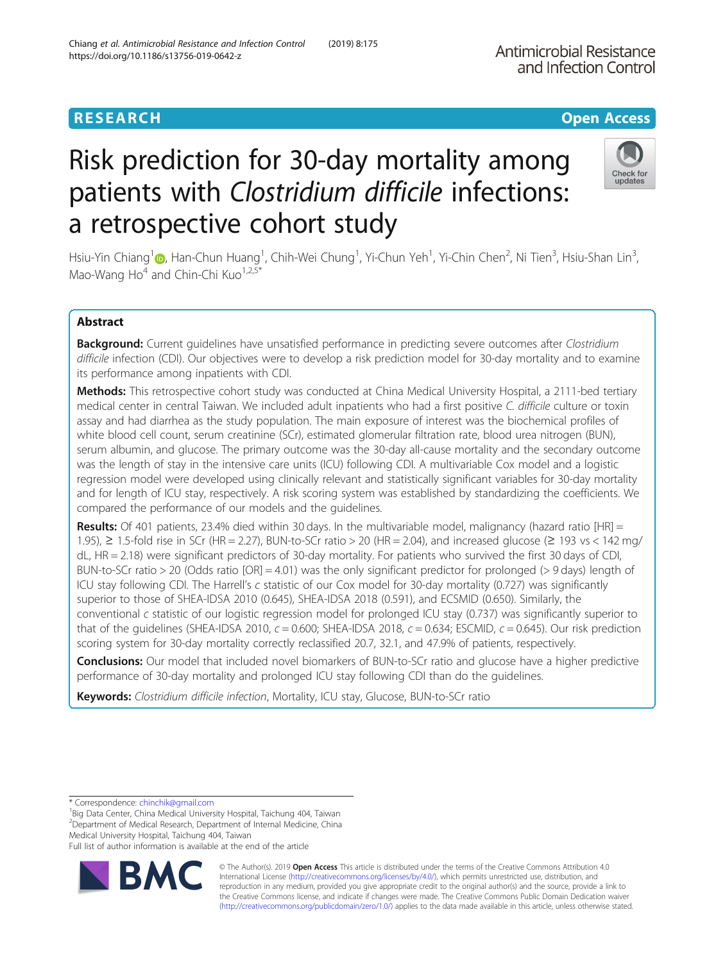# **RESEARCH CHE Open Access**

# Risk prediction for 30-day mortality among patients with Clostridium difficile infections: a retrospective cohort study

Hsiu-Yin Chiang<sup>1</sup> (D[,](http://orcid.org/0000-0002-4205-2787) Han-Chun Huang<sup>1</sup>, Chih-Wei Chung<sup>1</sup>, Yi-Chun Yeh<sup>1</sup>, Yi-Chin Chen<sup>2</sup>, Ni Tien<sup>3</sup>, Hsiu-Shan Lin<sup>3</sup> , Mao-Wang  $Ho<sup>4</sup>$  and Chin-Chi Kuo<sup>1,2,5\*</sup>

# Abstract

Background: Current guidelines have unsatisfied performance in predicting severe outcomes after Clostridium difficile infection (CDI). Our objectives were to develop a risk prediction model for 30-day mortality and to examine its performance among inpatients with CDI.

Methods: This retrospective cohort study was conducted at China Medical University Hospital, a 2111-bed tertiary medical center in central Taiwan. We included adult inpatients who had a first positive C. difficile culture or toxin assay and had diarrhea as the study population. The main exposure of interest was the biochemical profiles of white blood cell count, serum creatinine (SCr), estimated glomerular filtration rate, blood urea nitrogen (BUN), serum albumin, and glucose. The primary outcome was the 30-day all-cause mortality and the secondary outcome was the length of stay in the intensive care units (ICU) following CDI. A multivariable Cox model and a logistic regression model were developed using clinically relevant and statistically significant variables for 30-day mortality and for length of ICU stay, respectively. A risk scoring system was established by standardizing the coefficients. We compared the performance of our models and the guidelines.

Results: Of 401 patients, 23.4% died within 30 days. In the multivariable model, malignancy (hazard ratio [HR] = 1.95), ≥ 1.5-fold rise in SCr (HR = 2.27), BUN-to-SCr ratio > 20 (HR = 2.04), and increased glucose (≥ 193 vs < 142 mg/ dL, HR = 2.18) were significant predictors of 30-day mortality. For patients who survived the first 30 days of CDI, BUN-to-SCr ratio > 20 (Odds ratio [OR] = 4.01) was the only significant predictor for prolonged (> 9 days) length of ICU stay following CDI. The Harrell's c statistic of our Cox model for 30-day mortality (0.727) was significantly superior to those of SHEA-IDSA 2010 (0.645), SHEA-IDSA 2018 (0.591), and ECSMID (0.650). Similarly, the conventional c statistic of our logistic regression model for prolonged ICU stay (0.737) was significantly superior to that of the guidelines (SHEA-IDSA 2010,  $c = 0.600$ ; SHEA-IDSA 2018,  $c = 0.634$ ; ESCMID,  $c = 0.645$ ). Our risk prediction scoring system for 30-day mortality correctly reclassified 20.7, 32.1, and 47.9% of patients, respectively.

**Conclusions:** Our model that included novel biomarkers of BUN-to-SCr ratio and glucose have a higher predictive performance of 30-day mortality and prolonged ICU stay following CDI than do the guidelines.

Keywords: Clostridium difficile infection, Mortality, ICU stay, Glucose, BUN-to-SCr ratio

<sup>1</sup>Big Data Center, China Medical University Hospital, Taichung 404, Taiwan 2 Department of Medical Research, Department of Internal Medicine, China Medical University Hospital, Taichung 404, Taiwan

Full list of author information is available at the end of the article

© The Author(s). 2019 **Open Access** This article is distributed under the terms of the Creative Commons Attribution 4.0 International License [\(http://creativecommons.org/licenses/by/4.0/](http://creativecommons.org/licenses/by/4.0/)), which permits unrestricted use, distribution, and reproduction in any medium, provided you give appropriate credit to the original author(s) and the source, provide a link to the Creative Commons license, and indicate if changes were made. The Creative Commons Public Domain Dedication waiver [\(http://creativecommons.org/publicdomain/zero/1.0/](http://creativecommons.org/publicdomain/zero/1.0/)) applies to the data made available in this article, unless otherwise stated.





<sup>\*</sup> Correspondence: [chinchik@gmail.com](mailto:chinchik@gmail.com) <sup>1</sup>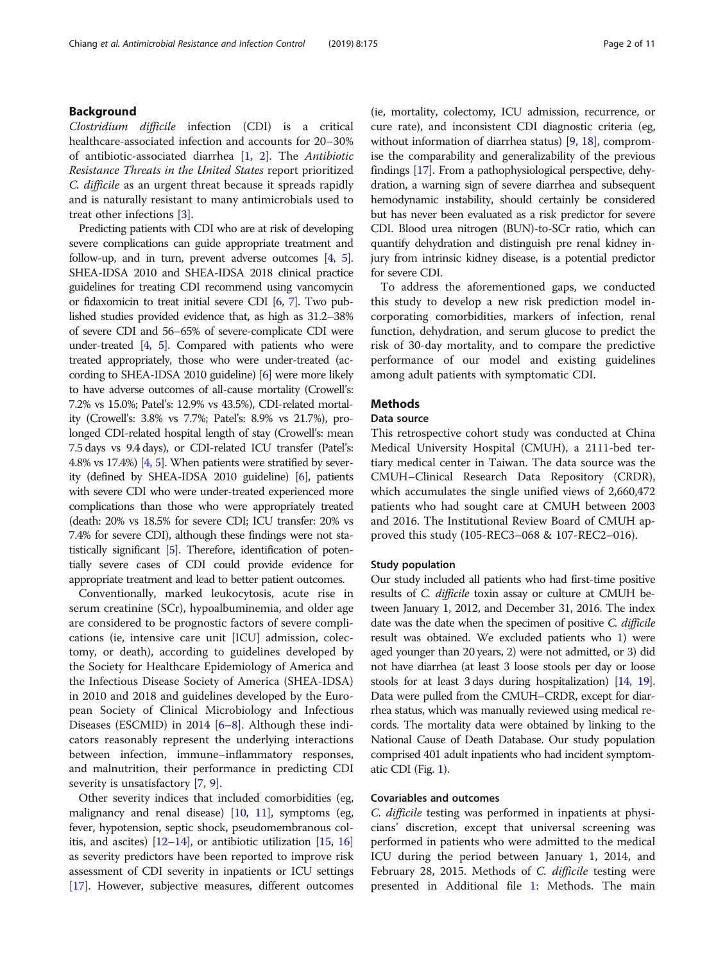# Background

Clostridium difficile infection (CDI) is a critical healthcare-associated infection and accounts for 20–30% of antibiotic-associated diarrhea [[1,](#page-9-0) [2](#page-9-0)]. The Antibiotic Resistance Threats in the United States report prioritized C. difficile as an urgent threat because it spreads rapidly and is naturally resistant to many antimicrobials used to treat other infections [[3\]](#page-9-0).

Predicting patients with CDI who are at risk of developing severe complications can guide appropriate treatment and follow-up, and in turn, prevent adverse outcomes [\[4,](#page-9-0) [5](#page-9-0)]. SHEA-IDSA 2010 and SHEA-IDSA 2018 clinical practice guidelines for treating CDI recommend using vancomycin or fidaxomicin to treat initial severe CDI [\[6](#page-9-0), [7\]](#page-9-0). Two published studies provided evidence that, as high as 31.2–38% of severe CDI and 56–65% of severe-complicate CDI were under-treated  $[4, 5]$  $[4, 5]$  $[4, 5]$ . Compared with patients who were treated appropriately, those who were under-treated (according to SHEA-IDSA 2010 guideline) [\[6](#page-9-0)] were more likely to have adverse outcomes of all-cause mortality (Crowell's: 7.2% vs 15.0%; Patel's: 12.9% vs 43.5%), CDI-related mortality (Crowell's: 3.8% vs 7.7%; Patel's: 8.9% vs 21.7%), prolonged CDI-related hospital length of stay (Crowell's: mean 7.5 days vs 9.4 days), or CDI-related ICU transfer (Patel's: 4.8% vs 17.4%) [\[4](#page-9-0), [5](#page-9-0)]. When patients were stratified by severity (defined by SHEA-IDSA 2010 guideline) [[6](#page-9-0)], patients with severe CDI who were under-treated experienced more complications than those who were appropriately treated (death: 20% vs 18.5% for severe CDI; ICU transfer: 20% vs 7.4% for severe CDI), although these findings were not statistically significant [\[5\]](#page-9-0). Therefore, identification of potentially severe cases of CDI could provide evidence for appropriate treatment and lead to better patient outcomes.

Conventionally, marked leukocytosis, acute rise in serum creatinine (SCr), hypoalbuminemia, and older age are considered to be prognostic factors of severe complications (ie, intensive care unit [ICU] admission, colectomy, or death), according to guidelines developed by the Society for Healthcare Epidemiology of America and the Infectious Disease Society of America (SHEA-IDSA) in 2010 and 2018 and guidelines developed by the European Society of Clinical Microbiology and Infectious Diseases (ESCMID) in 2014 [[6](#page-9-0)–[8](#page-9-0)]. Although these indicators reasonably represent the underlying interactions between infection, immune–inflammatory responses, and malnutrition, their performance in predicting CDI severity is unsatisfactory [\[7](#page-9-0), [9](#page-9-0)].

Other severity indices that included comorbidities (eg, malignancy and renal disease)  $[10, 11]$  $[10, 11]$  $[10, 11]$  $[10, 11]$  $[10, 11]$ , symptoms (eg, fever, hypotension, septic shock, pseudomembranous colitis, and ascites)  $[12-14]$  $[12-14]$  $[12-14]$  $[12-14]$ , or antibiotic utilization  $[15, 16]$  $[15, 16]$  $[15, 16]$  $[15, 16]$ as severity predictors have been reported to improve risk assessment of CDI severity in inpatients or ICU settings [[17](#page-9-0)]. However, subjective measures, different outcomes

(ie, mortality, colectomy, ICU admission, recurrence, or cure rate), and inconsistent CDI diagnostic criteria (eg, without information of diarrhea status) [\[9,](#page-9-0) [18\]](#page-9-0), compromise the comparability and generalizability of the previous findings [[17](#page-9-0)]. From a pathophysiological perspective, dehydration, a warning sign of severe diarrhea and subsequent hemodynamic instability, should certainly be considered but has never been evaluated as a risk predictor for severe CDI. Blood urea nitrogen (BUN)-to-SCr ratio, which can quantify dehydration and distinguish pre renal kidney injury from intrinsic kidney disease, is a potential predictor for severe CDI.

To address the aforementioned gaps, we conducted this study to develop a new risk prediction model incorporating comorbidities, markers of infection, renal function, dehydration, and serum glucose to predict the risk of 30-day mortality, and to compare the predictive performance of our model and existing guidelines among adult patients with symptomatic CDI.

# **Methods**

# Data source

This retrospective cohort study was conducted at China Medical University Hospital (CMUH), a 2111-bed tertiary medical center in Taiwan. The data source was the CMUH–Clinical Research Data Repository (CRDR), which accumulates the single unified views of 2,660,472 patients who had sought care at CMUH between 2003 and 2016. The Institutional Review Board of CMUH approved this study (105-REC3–068 & 107-REC2–016).

# Study population

Our study included all patients who had first-time positive results of C. difficile toxin assay or culture at CMUH between January 1, 2012, and December 31, 2016. The index date was the date when the specimen of positive C. difficile result was obtained. We excluded patients who 1) were aged younger than 20 years, 2) were not admitted, or 3) did not have diarrhea (at least 3 loose stools per day or loose stools for at least 3 days during hospitalization) [\[14](#page-9-0), [19](#page-9-0)]. Data were pulled from the CMUH–CRDR, except for diarrhea status, which was manually reviewed using medical records. The mortality data were obtained by linking to the National Cause of Death Database. Our study population comprised 401 adult inpatients who had incident symptomatic CDI (Fig. [1](#page-2-0)).

#### Covariables and outcomes

C. difficile testing was performed in inpatients at physicians' discretion, except that universal screening was performed in patients who were admitted to the medical ICU during the period between January 1, 2014, and February 28, 2015. Methods of C. difficile testing were presented in Additional file [1:](#page-8-0) Methods. The main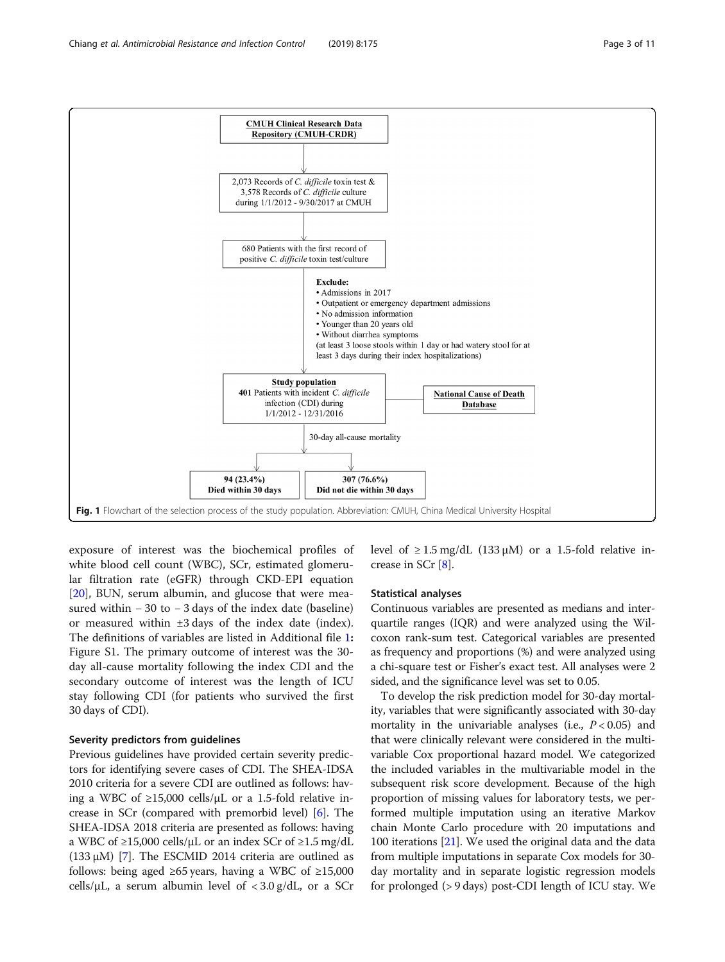<span id="page-2-0"></span>

exposure of interest was the biochemical profiles of white blood cell count (WBC), SCr, estimated glomerular filtration rate (eGFR) through CKD-EPI equation [[20\]](#page-9-0), BUN, serum albumin, and glucose that were measured within − 30 to − 3 days of the index date (baseline) or measured within ±3 days of the index date (index). The definitions of variables are listed in Additional file [1](#page-8-0): Figure S1. The primary outcome of interest was the 30 day all-cause mortality following the index CDI and the secondary outcome of interest was the length of ICU stay following CDI (for patients who survived the first 30 days of CDI).

# Severity predictors from guidelines

Previous guidelines have provided certain severity predictors for identifying severe cases of CDI. The SHEA-IDSA 2010 criteria for a severe CDI are outlined as follows: having a WBC of  $\geq$ 15,000 cells/ $\mu$ L or a 1.5-fold relative increase in SCr (compared with premorbid level) [\[6](#page-9-0)]. The SHEA-IDSA 2018 criteria are presented as follows: having a WBC of  $\geq$ 15,000 cells/ $\mu$ L or an index SCr of  $\geq$ 1.5 mg/dL (133 μM) [\[7](#page-9-0)]. The ESCMID 2014 criteria are outlined as follows: being aged ≥65 years, having a WBC of  $\geq 15,000$ cells/ $\mu$ L, a serum albumin level of  $\langle 3.0 \text{ g/dL} \rangle$ , or a SCr level of  $\geq 1.5$  mg/dL (133  $\mu$ M) or a 1.5-fold relative increase in SCr [\[8\]](#page-9-0).

# Statistical analyses

Continuous variables are presented as medians and interquartile ranges (IQR) and were analyzed using the Wilcoxon rank-sum test. Categorical variables are presented as frequency and proportions (%) and were analyzed using a chi-square test or Fisher's exact test. All analyses were 2 sided, and the significance level was set to 0.05.

To develop the risk prediction model for 30-day mortality, variables that were significantly associated with 30-day mortality in the univariable analyses (i.e.,  $P < 0.05$ ) and that were clinically relevant were considered in the multivariable Cox proportional hazard model. We categorized the included variables in the multivariable model in the subsequent risk score development. Because of the high proportion of missing values for laboratory tests, we performed multiple imputation using an iterative Markov chain Monte Carlo procedure with 20 imputations and 100 iterations [\[21\]](#page-9-0). We used the original data and the data from multiple imputations in separate Cox models for 30 day mortality and in separate logistic regression models for prolonged (> 9 days) post-CDI length of ICU stay. We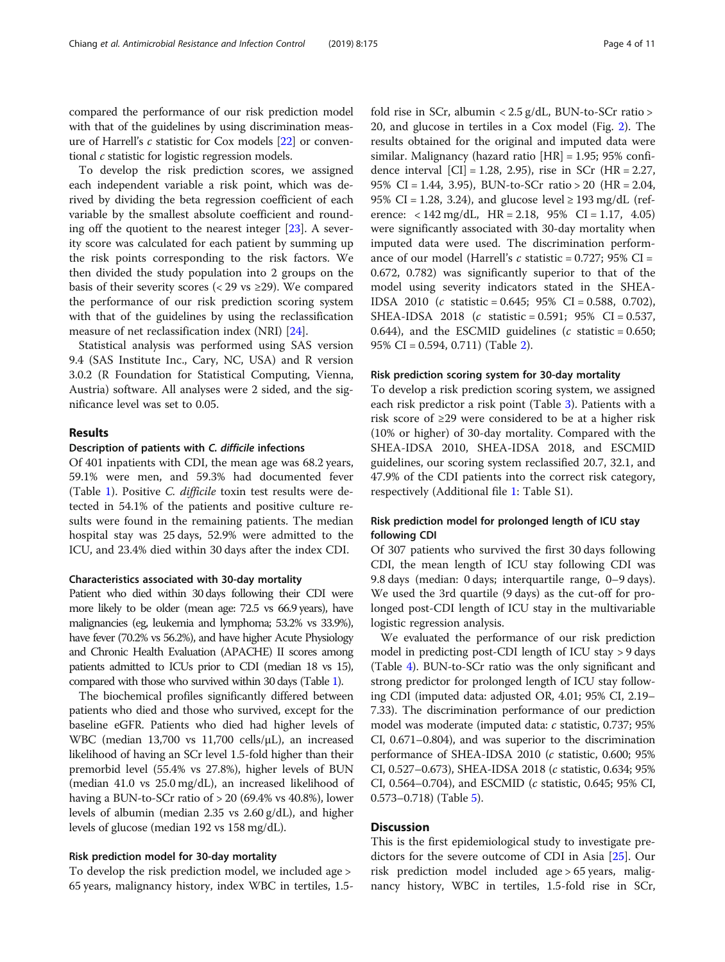compared the performance of our risk prediction model with that of the guidelines by using discrimination measure of Harrell's c statistic for Cox models [[22](#page-9-0)] or conventional c statistic for logistic regression models.

To develop the risk prediction scores, we assigned each independent variable a risk point, which was derived by dividing the beta regression coefficient of each variable by the smallest absolute coefficient and rounding off the quotient to the nearest integer [\[23\]](#page-9-0). A severity score was calculated for each patient by summing up the risk points corresponding to the risk factors. We then divided the study population into 2 groups on the basis of their severity scores (< 29 vs  $\geq$ 29). We compared the performance of our risk prediction scoring system with that of the guidelines by using the reclassification measure of net reclassification index (NRI) [\[24\]](#page-9-0).

Statistical analysis was performed using SAS version 9.4 (SAS Institute Inc., Cary, NC, USA) and R version 3.0.2 (R Foundation for Statistical Computing, Vienna, Austria) software. All analyses were 2 sided, and the significance level was set to 0.05.

# Results

#### Description of patients with C. difficile infections

Of 401 inpatients with CDI, the mean age was 68.2 years, 59.1% were men, and 59.3% had documented fever (Table [1](#page-4-0)). Positive C. difficile toxin test results were detected in 54.1% of the patients and positive culture results were found in the remaining patients. The median hospital stay was 25 days, 52.9% were admitted to the ICU, and 23.4% died within 30 days after the index CDI.

#### Characteristics associated with 30-day mortality

Patient who died within 30 days following their CDI were more likely to be older (mean age: 72.5 vs 66.9 years), have malignancies (eg, leukemia and lymphoma; 53.2% vs 33.9%), have fever (70.2% vs 56.2%), and have higher Acute Physiology and Chronic Health Evaluation (APACHE) II scores among patients admitted to ICUs prior to CDI (median 18 vs 15), compared with those who survived within 30 days (Table [1\)](#page-4-0).

The biochemical profiles significantly differed between patients who died and those who survived, except for the baseline eGFR. Patients who died had higher levels of WBC (median 13,700 vs 11,700 cells/μL), an increased likelihood of having an SCr level 1.5-fold higher than their premorbid level (55.4% vs 27.8%), higher levels of BUN (median 41.0 vs 25.0 mg/dL), an increased likelihood of having a BUN-to-SCr ratio of > 20 (69.4% vs 40.8%), lower levels of albumin (median 2.35 vs 2.60 g/dL), and higher levels of glucose (median 192 vs 158 mg/dL).

#### Risk prediction model for 30-day mortality

To develop the risk prediction model, we included age > 65 years, malignancy history, index WBC in tertiles, 1.5fold rise in SCr, albumin < 2.5 g/dL, BUN-to-SCr ratio > 20, and glucose in tertiles in a Cox model (Fig. [2](#page-5-0)). The results obtained for the original and imputed data were similar. Malignancy (hazard ratio [HR] = 1.95; 95% confidence interval [CI] = 1.28, 2.95), rise in SCr (HR = 2.27, 95% CI = 1.44, 3.95), BUN-to-SCr ratio > 20 (HR = 2.04, 95% CI = 1.28, 3.24), and glucose level  $\ge$  193 mg/dL (reference:  $\langle 142 \text{ mg/dL}, \text{HR} = 2.18, 95\% \text{ CI} = 1.17, 4.05 \rangle$ were significantly associated with 30-day mortality when imputed data were used. The discrimination performance of our model (Harrell's  $c$  statistic = 0.727; 95% CI = 0.672, 0.782) was significantly superior to that of the model using severity indicators stated in the SHEA-IDSA 2010 (c statistic = 0.645; 95% CI = 0.588, 0.702), SHEA-IDSA 2018 (c statistic = 0.591; 95% CI = 0.537, 0.644), and the ESCMID guidelines ( $c$  statistic = 0.650; 95% CI = 0.594, 0.711) (Table [2\)](#page-6-0).

#### Risk prediction scoring system for 30-day mortality

To develop a risk prediction scoring system, we assigned each risk predictor a risk point (Table [3](#page-6-0)). Patients with a risk score of ≥29 were considered to be at a higher risk (10% or higher) of 30-day mortality. Compared with the SHEA-IDSA 2010, SHEA-IDSA 2018, and ESCMID guidelines, our scoring system reclassified 20.7, 32.1, and 47.9% of the CDI patients into the correct risk category, respectively (Additional file [1:](#page-8-0) Table S1).

# Risk prediction model for prolonged length of ICU stay following CDI

Of 307 patients who survived the first 30 days following CDI, the mean length of ICU stay following CDI was 9.8 days (median: 0 days; interquartile range, 0–9 days). We used the 3rd quartile (9 days) as the cut-off for prolonged post-CDI length of ICU stay in the multivariable logistic regression analysis.

We evaluated the performance of our risk prediction model in predicting post-CDI length of ICU stay > 9 days (Table [4\)](#page-7-0). BUN-to-SCr ratio was the only significant and strong predictor for prolonged length of ICU stay following CDI (imputed data: adjusted OR, 4.01; 95% CI, 2.19– 7.33). The discrimination performance of our prediction model was moderate (imputed data: c statistic, 0.737; 95% CI, 0.671–0.804), and was superior to the discrimination performance of SHEA-IDSA 2010 (c statistic, 0.600; 95% CI, 0.527–0.673), SHEA-IDSA 2018 (c statistic, 0.634; 95% CI, 0.564–0.704), and ESCMID ( $c$  statistic, 0.645; 95% CI, 0.573–0.718) (Table [5](#page-7-0)).

# **Discussion**

This is the first epidemiological study to investigate predictors for the severe outcome of CDI in Asia [\[25](#page-9-0)]. Our risk prediction model included age > 65 years, malignancy history, WBC in tertiles, 1.5-fold rise in SCr,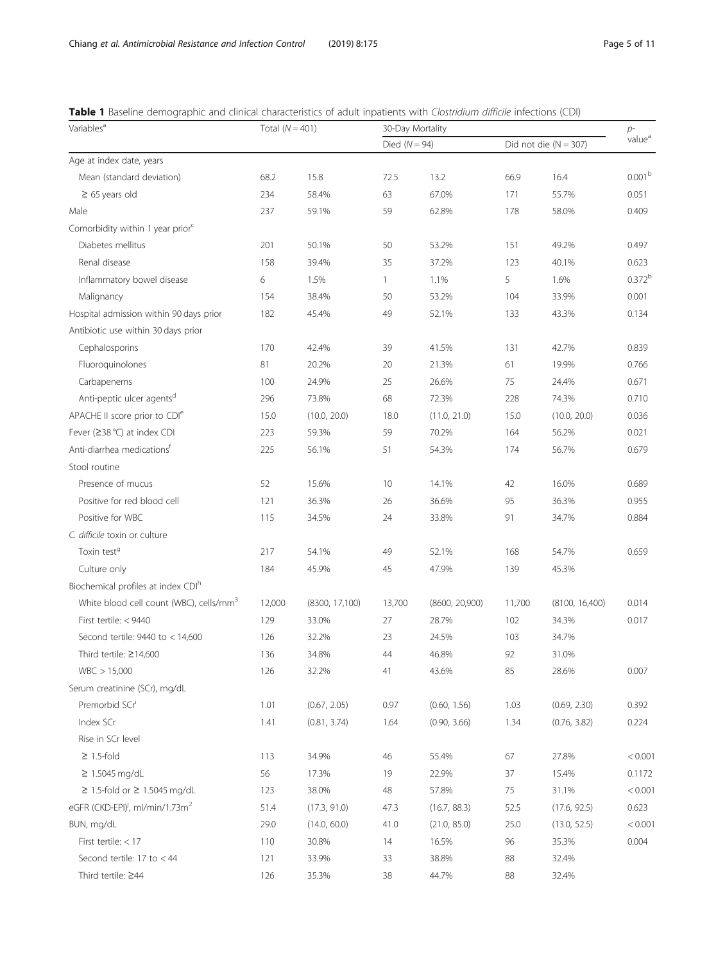<span id="page-4-0"></span>

| Table 1 Baseline demographic and clinical characteristics of adult inpatients with Clostridium difficile infections (CDI) |  |
|---------------------------------------------------------------------------------------------------------------------------|--|
|---------------------------------------------------------------------------------------------------------------------------|--|

| Variables <sup>a</sup>                                  | Total $(N = 401)$ |                | 30-Day Mortality | $p-$           |        |                           |                    |  |
|---------------------------------------------------------|-------------------|----------------|------------------|----------------|--------|---------------------------|--------------------|--|
|                                                         |                   |                | Died $(N = 94)$  |                |        | Did not die ( $N = 307$ ) | value <sup>a</sup> |  |
| Age at index date, years                                |                   |                |                  |                |        |                           |                    |  |
| Mean (standard deviation)                               | 68.2              | 15.8           | 72.5             | 13.2           | 66.9   | 16.4                      | 0.001 <sup>b</sup> |  |
| $\geq 65$ years old                                     | 234               | 58.4%          | 63               | 67.0%          | 171    | 55.7%                     | 0.051              |  |
| Male                                                    | 237               | 59.1%          | 59               | 62.8%          | 178    | 58.0%                     | 0.409              |  |
| Comorbidity within 1 year prior <sup>c</sup>            |                   |                |                  |                |        |                           |                    |  |
| Diabetes mellitus                                       | 201               | 50.1%          | 50               | 53.2%          | 151    | 49.2%                     | 0.497              |  |
| Renal disease                                           | 158               | 39.4%          | 35               | 37.2%          | 123    | 40.1%                     | 0.623              |  |
| Inflammatory bowel disease                              | 6                 | 1.5%           | 1                | 1.1%           | 5      | 1.6%                      | $0.372^{b}$        |  |
| Malignancy                                              | 154               | 38.4%          | 50               | 53.2%          | 104    | 33.9%                     | 0.001              |  |
| Hospital admission within 90 days prior                 | 182               | 45.4%          | 49               | 52.1%          | 133    | 43.3%                     | 0.134              |  |
| Antibiotic use within 30 days prior                     |                   |                |                  |                |        |                           |                    |  |
| Cephalosporins                                          | 170               | 42.4%          | 39               | 41.5%          | 131    | 42.7%                     | 0.839              |  |
| Fluoroquinolones                                        | 81                | 20.2%          | 20               | 21.3%          | 61     | 19.9%                     | 0.766              |  |
| Carbapenems                                             | 100               | 24.9%          | 25               | 26.6%          | 75     | 24.4%                     | 0.671              |  |
| Anti-peptic ulcer agents <sup>d</sup>                   | 296               | 73.8%          | 68               | 72.3%          | 228    | 74.3%                     | 0.710              |  |
| APACHE II score prior to CDI <sup>e</sup>               | 15.0              | (10.0, 20.0)   | 18.0             | (11.0, 21.0)   | 15.0   | (10.0, 20.0)              | 0.036              |  |
| Fever (≥38 °C) at index CDI                             | 223               | 59.3%          | 59               | 70.2%          | 164    | 56.2%                     | 0.021              |  |
| Anti-diarrhea medications <sup>f</sup>                  | 225               | 56.1%          | 51               | 54.3%          | 174    | 56.7%                     | 0.679              |  |
| Stool routine                                           |                   |                |                  |                |        |                           |                    |  |
| Presence of mucus                                       | 52                | 15.6%          | 10 <sup>°</sup>  | 14.1%          | 42     | 16.0%                     | 0.689              |  |
| Positive for red blood cell                             | 121               | 36.3%          | 26               | 36.6%          | 95     | 36.3%                     | 0.955              |  |
| Positive for WBC                                        | 115               | 34.5%          | 24               | 33.8%          | 91     | 34.7%                     | 0.884              |  |
| C. difficile toxin or culture                           |                   |                |                  |                |        |                           |                    |  |
| Toxin test <sup>g</sup>                                 | 217               | 54.1%          | 49               | 52.1%          | 168    | 54.7%                     | 0.659              |  |
| Culture only                                            | 184               | 45.9%          | 45               | 47.9%          | 139    | 45.3%                     |                    |  |
| Biochemical profiles at index CDI <sup>h</sup>          |                   |                |                  |                |        |                           |                    |  |
| White blood cell count (WBC), cells/mm <sup>3</sup>     | 12,000            | (8300, 17,100) | 13,700           | (8600, 20,900) | 11,700 | (8100, 16,400)            | 0.014              |  |
| First tertile: < 9440                                   | 129               | 33.0%          | 27               | 28.7%          | 102    | 34.3%                     | 0.017              |  |
| Second tertile: $9440$ to < 14,600                      | 126               | 32.2%          | 23               | 24.5%          | 103    | 34.7%                     |                    |  |
| Third tertile: $\geq$ 14,600                            | 136               | 34.8%          | 44               | 46.8%          | 92     | 31.0%                     |                    |  |
| WBC > 15,000                                            | 126               | 32.2%          | 41               | 43.6%          | 85     | 28.6%                     | 0.007              |  |
| Serum creatinine (SCr), mg/dL                           |                   |                |                  |                |        |                           |                    |  |
| Premorbid SCr <sup>i</sup>                              | 1.01              | (0.67, 2.05)   | 0.97             | (0.60, 1.56)   | 1.03   | (0.69, 2.30)              | 0.392              |  |
| Index SCr                                               | 1.41              | (0.81, 3.74)   | 1.64             | (0.90, 3.66)   | 1.34   | (0.76, 3.82)              | 0.224              |  |
| Rise in SCr level                                       |                   |                |                  |                |        |                           |                    |  |
| $\geq$ 1.5-fold                                         | 113               | 34.9%          | 46               | 55.4%          | 67     | 27.8%                     | < 0.001            |  |
| $\geq 1.5045$ mg/dL                                     | 56                | 17.3%          | 19               | 22.9%          | 37     | 15.4%                     | 0.1172             |  |
| $\geq$ 1.5-fold or $\geq$ 1.5045 mg/dL                  | 123               | 38.0%          | 48               | 57.8%          | 75     | 31.1%                     | < 0.001            |  |
| eGFR (CKD-EPI) <sup>j</sup> , ml/min/1.73m <sup>2</sup> | 51.4              | (17.3, 91.0)   | 47.3             | (16.7, 88.3)   | 52.5   | (17.6, 92.5)              | 0.623              |  |
| BUN, mg/dL                                              | 29.0              | (14.0, 60.0)   | 41.0             | (21.0, 85.0)   | 25.0   | (13.0, 52.5)              | < 0.001            |  |
| First tertile: < 17                                     | 110               | 30.8%          | 14               | 16.5%          | 96     | 35.3%                     | 0.004              |  |
| Second tertile: 17 to $<$ 44                            | 121               | 33.9%          | 33               | 38.8%          | 88     | 32.4%                     |                    |  |
| Third tertile: ≥44                                      | 126               | 35.3%          | 38               | 44.7%          | 88     | 32.4%                     |                    |  |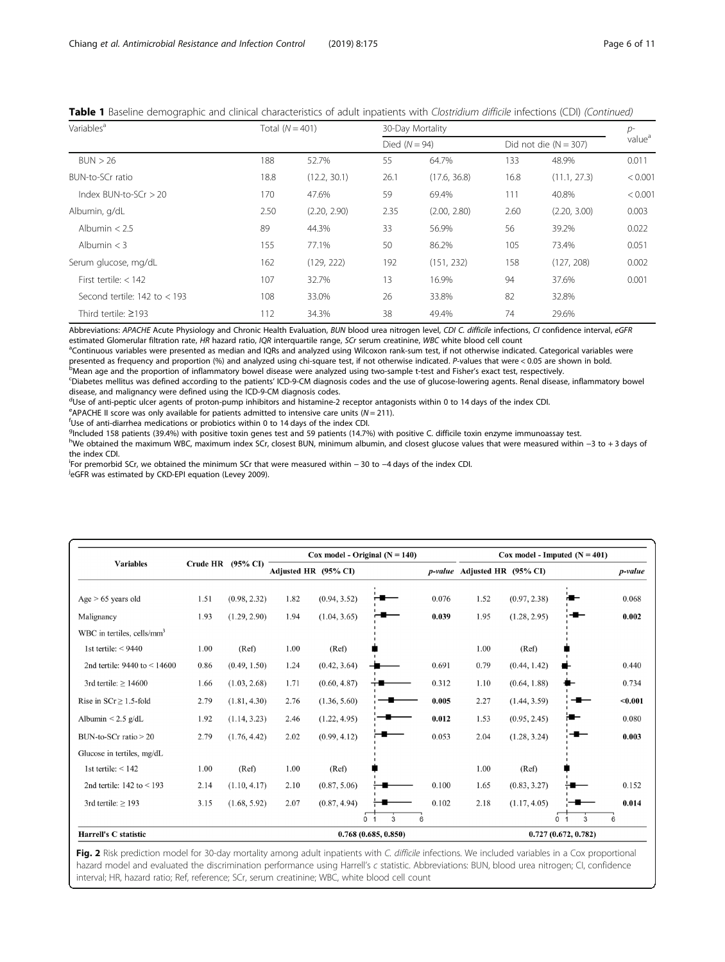| Variables <sup>a</sup>           | Total $(N = 401)$ |              |                 | 30-Day Mortality |      |                           |         |  |  |  |
|----------------------------------|-------------------|--------------|-----------------|------------------|------|---------------------------|---------|--|--|--|
|                                  |                   |              | Died $(N = 94)$ |                  |      | Did not die ( $N = 307$ ) |         |  |  |  |
| BUN > 26                         | 188               | 52.7%        | 55              | 64.7%            | 133  | 48.9%                     | 0.011   |  |  |  |
| BUN-to-SCr ratio                 | 18.8              | (12.2, 30.1) | 26.1            | (17.6, 36.8)     | 16.8 | (11.1, 27.3)              | < 0.001 |  |  |  |
| Index $BUN-to-SCr > 20$          | 170               | 47.6%        | 59              | 69.4%            | 111  | 40.8%                     | < 0.001 |  |  |  |
| Albumin, g/dL                    | 2.50              | (2.20, 2.90) | 2.35            | (2.00, 2.80)     | 2.60 | (2.20, 3.00)              | 0.003   |  |  |  |
| Albumin $< 2.5$                  | 89                | 44.3%        | 33              | 56.9%            | 56   | 39.2%                     | 0.022   |  |  |  |
| Albumin $<$ 3                    | 155               | 77.1%        | 50              | 86.2%            | 105  | 73.4%                     | 0.051   |  |  |  |
| Serum glucose, mg/dL             | 162               | (129, 222)   | 192             | (151, 232)       | 158  | (127, 208)                | 0.002   |  |  |  |
| First tertile: $<$ 142           | 107               | 32.7%        | 13              | 16.9%            | 94   | 37.6%                     | 0.001   |  |  |  |
| Second tertile: $142$ to $<$ 193 | 108               | 33.0%        | 26              | 33.8%            | 82   | 32.8%                     |         |  |  |  |
| Third tertile: $\geq$ 193        | 112               | 34.3%        | 38              | 49.4%            | 74   | 29.6%                     |         |  |  |  |

<span id="page-5-0"></span>Table 1 Baseline demographic and clinical characteristics of adult inpatients with Clostridium difficile infections (CDI) (Continued)

Abbreviations: APACHE Acute Physiology and Chronic Health Evaluation, BUN blood urea nitrogen level, CDI C. difficile infections, CI confidence interval, eGFR estimated Glomerular filtration rate, HR hazard ratio, IQR interquartile range, SCr serum creatinine, WBC white blood cell count

<sup>a</sup>Continuous variables were presented as median and IQRs and analyzed using Wilcoxon rank-sum test, if not otherwise indicated. Categorical variables were presented as frequency and proportion (%) and analyzed using chi-square test, if not otherwise indicated. P-values that were < 0.05 are shown in bold. <sup>b</sup>Mean age and the proportion of inflammatory bowel disease were analyzed using two-sample t-test and Fisher's exact test, respectively.

<sup>c</sup>Diabetes mellitus was defined according to the patients' ICD-9-CM diagnosis codes and the use of glucose-lowering agents. Renal disease, inflammatory bowel disease, and malignancy were defined using the ICD-9-CM diagnosis codes.

<sup>d</sup>Use of anti-peptic ulcer agents of proton-pump inhibitors and histamine-2 receptor antagonists within 0 to 14 days of the index CDI.

 $^{\circ}$ APACHE II score was only available for patients admitted to intensive care units (N = 211).

Use of anti-diarrhea medications or probiotics within 0 to 14 days of the index CDI.

q<br><sup>g</sup>Included 158 patients (39.4%) with positive toxin genes test and 59 patients (14.7%) with positive C. difficile toxin enzyme immunoassay test.

h<br>We obtained the maximum WBC, maximum index SCr, closest BUN, minimum albumin, and closest glucose values that were measured within −3 to + 3 days of the index CDI.

iFor premorbid SCr, we obtained the minimum SCr that were measured within − 30 to −4 days of the index CDI.<br>JaGER was estimated by CKD-EPL equation (Lovey 2009).

<sup>j</sup>eGFR was estimated by CKD-EPI equation (Levey 2009).

|                                        |                 |                     |                      |              | Cox model - Original $(N = 140)$ |       | Cox model - Imputed $(N = 401)$ |              |                     |         |  |
|----------------------------------------|-----------------|---------------------|----------------------|--------------|----------------------------------|-------|---------------------------------|--------------|---------------------|---------|--|
| <b>Variables</b>                       | <b>Crude HR</b> | $(95\% \text{ CI})$ | Adjusted HR (95% CI) |              |                                  |       | p-value Adjusted HR (95% CI)    |              |                     | p-value |  |
| Age $> 65$ years old                   | 1.51            | (0.98, 2.32)        | 1.82                 | (0.94, 3.52) |                                  | 0.076 | 1.52                            | (0.97, 2.38) |                     | 0.068   |  |
| Malignancy                             | 1.93            | (1.29, 2.90)        | 1.94                 | (1.04, 3.65) |                                  | 0.039 | 1.95                            | (1.28, 2.95) |                     | 0.002   |  |
| WBC in tertiles, cells/mm <sup>3</sup> |                 |                     |                      |              |                                  |       |                                 |              |                     |         |  |
| 1st tertile: $<$ 9440                  | 1.00            | (Ref)               | 1.00                 | (Ref)        |                                  |       | 1.00                            | (Ref)        |                     |         |  |
| 2nd tertile: $9440$ to < 14600         | 0.86            | (0.49, 1.50)        | 1.24                 | (0.42, 3.64) |                                  | 0.691 | 0.79                            | (0.44, 1.42) |                     | 0.440   |  |
| 3rd tertile: $\geq$ 14600              | 1.66            | (1.03, 2.68)        | 1.71                 | (0.60, 4.87) |                                  | 0.312 | 1.10                            | (0.64, 1.88) |                     | 0.734   |  |
| Rise in $SCr \ge 1.5$ -fold            | 2.79            | (1.81, 4.30)        | 2.76                 | (1.36, 5.60) |                                  | 0.005 | 2.27                            | (1.44, 3.59) |                     | $0.001$ |  |
| Albumin $< 2.5$ g/dL                   | 1.92            | (1.14, 3.23)        | 2.46                 | (1.22, 4.95) |                                  | 0.012 | 1.53                            | (0.95, 2.45) |                     | 0.080   |  |
| $BUN-to-SCr$ ratio $> 20$              | 2.79            | (1.76, 4.42)        | 2.02                 | (0.99, 4.12) |                                  | 0.053 | 2.04                            | (1.28, 3.24) |                     | 0.003   |  |
| Glucose in tertiles, mg/dL             |                 |                     |                      |              |                                  |       |                                 |              |                     |         |  |
| 1st tertile: $<$ 142                   | 1.00            | (Ref)               | 1.00                 | (Ref)        |                                  |       | 1.00                            | (Ref)        |                     |         |  |
| 2nd tertile: $142$ to $\leq 193$       | 2.14            | (1.10, 4.17)        | 2.10                 | (0.87, 5.06) |                                  | 0.100 | 1.65                            | (0.83, 3.27) |                     | 0.152   |  |
| 3rd tertile: $\geq$ 193                | 3.15            | (1.68, 5.92)        | 2.07                 | (0.87, 4.94) |                                  | 0.102 | 2.18                            | (1.17, 4.05) |                     | 0.014   |  |
|                                        |                 |                     |                      |              | 0 <sub>1</sub><br>3<br>6         |       |                                 |              | 3<br>0              | 6       |  |
| Harrell's C statistic                  |                 |                     |                      |              | 0.768(0.685, 0.850)              |       |                                 |              | 0.727(0.672, 0.782) |         |  |

Fig. 2 Risk prediction model for 30-day mortality among adult inpatients with C. difficile infections. We included variables in a Cox proportional hazard model and evaluated the discrimination performance using Harrell's c statistic. Abbreviations: BUN, blood urea nitrogen; CI, confidence interval; HR, hazard ratio; Ref, reference; SCr, serum creatinine; WBC, white blood cell count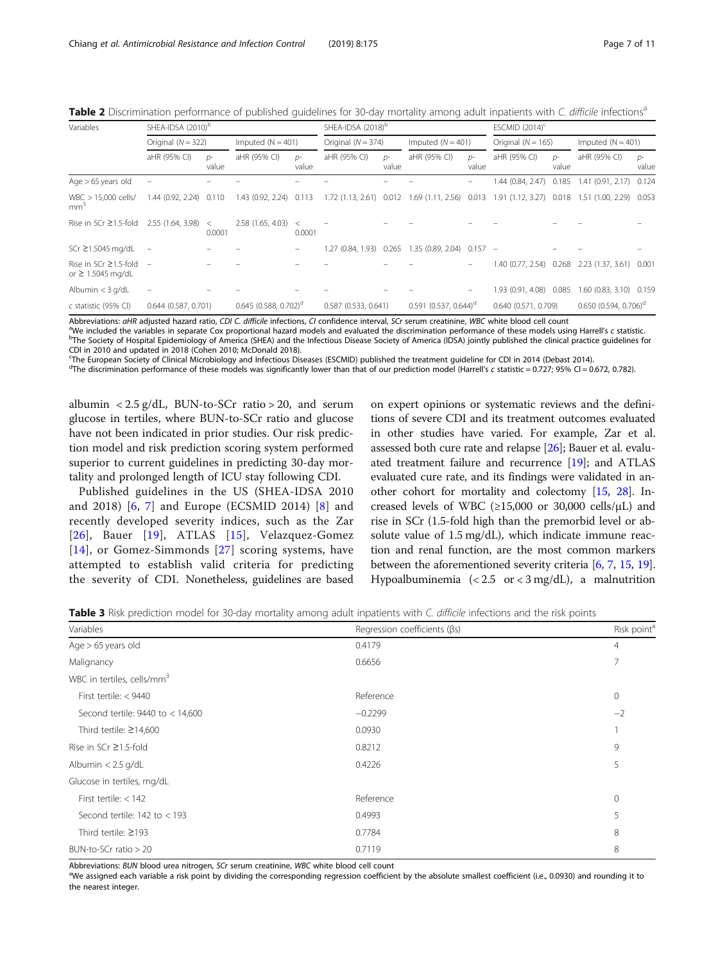<span id="page-6-0"></span>

| Table 2 Discrimination performance of published quidelines for 30-day mortality among adult inpatients with C. difficile infections <sup>a</sup> |  |  |  |  |
|--------------------------------------------------------------------------------------------------------------------------------------------------|--|--|--|--|
|--------------------------------------------------------------------------------------------------------------------------------------------------|--|--|--|--|

| Variables                                                 | SHEA-IDSA (2010) <sup>b</sup> |                      | SHEA-IDSA (2018) <sup>b</sup>       |                     |                        |                      | ESCMID $(2014)^c$                                 |                     |                      |                        |                            |                     |  |
|-----------------------------------------------------------|-------------------------------|----------------------|-------------------------------------|---------------------|------------------------|----------------------|---------------------------------------------------|---------------------|----------------------|------------------------|----------------------------|---------------------|--|
|                                                           |                               | Original $(N = 322)$ |                                     | Imputed $(N = 401)$ |                        | Original $(N = 374)$ |                                                   | Imputed $(N = 401)$ |                      | Original ( $N = 165$ ) |                            | Imputed $(N = 401)$ |  |
|                                                           | aHR (95% CI)                  | $D^-$<br>value       | aHR (95% CI)                        | $D^-$<br>value      | aHR (95% CI)           | $D^-$<br>value       | aHR (95% CI)                                      | $D^-$<br>value      | aHR (95% CI)         | $D^-$<br>value         | aHR (95% CI)               | $D^-$<br>value      |  |
| Age $> 65$ years old                                      | $\overline{\phantom{a}}$      |                      |                                     |                     |                        |                      |                                                   |                     | 1.44 (0.84, 2.47)    | 0.185                  | 1.41(0.91, 2.17)           | 0.124               |  |
| $WBC > 15,000$ cells/<br>mm <sup>3</sup>                  | 1.44(0.92, 2.24)              | 0.110                | 1.43 (0.92, 2.24)                   | 0.113               |                        |                      | 1.72 (1.13, 2.61) 0.012 1.69 (1.11, 2.56)         | 0.013               | 1.91(1.12, 3.27)     | 0.018                  | 1.51 (1.00, 2.29)          | 0.053               |  |
| Rise in SCr $\geq$ 1.5-fold                               | 2.55 (1.64, 3.98)             | $\lt$<br>0.0001      | 2.58 (1.65, 4.03)                   | $\,<\,$<br>0.0001   |                        |                      |                                                   |                     |                      |                        |                            |                     |  |
| SCr ≥1.5045 mg/dL                                         | $\overline{\phantom{m}}$      |                      |                                     |                     |                        |                      | 1.27 (0.84, 1.93) 0.265 1.35 (0.89, 2.04) 0.157 - |                     |                      |                        |                            |                     |  |
| Rise in SCr $\geq$ 1.5-fold $-$<br>or $\geq$ 1.5045 mg/dL |                               |                      |                                     |                     |                        |                      |                                                   |                     | 1.40 (0.77, 2.54)    | 0.268                  | 2.23(1.37, 3.61)           | 0.001               |  |
| Albumin $<$ 3 g/dL                                        | $\overline{\phantom{0}}$      |                      |                                     |                     |                        |                      |                                                   |                     | 1.93 (0.91, 4.08)    | 0.085                  | 1.60 (0.83, 3.10) 0.159    |                     |  |
| c statistic (95% CI)                                      | $0.644$ $(0.587, 0.701)$      |                      | $0.645$ (0.588, 0.702) <sup>d</sup> |                     | $0.587$ (0.533, 0.641) |                      | $0.591$ (0.537, 0.644) <sup>d</sup>               |                     | 0.640 (0.571, 0.709) |                        | $0.650$ $(0.594, 0.706)^d$ |                     |  |

Abbreviations: aHR adjusted hazard ratio, CDI C. difficile infections, CI confidence interval, SCr serum creatinine, WBC white blood cell count

<sup>a</sup>We included the variables in separate Cox proportional hazard models and evaluated the discrimination performance of these models using Harrell's c statistic <sup>b</sup>The Society of Hospital Epidemiology of America (SHEA) and the Infectious Disease Society of America (IDSA) jointly published the clinical practice guidelines for CDI in 2010 and updated in 2018 (Cohen 2010; McDonald 2018).

c The European Society of Clinical Microbiology and Infectious Diseases (ESCMID) published the treatment guideline for CDI in 2014 (Debast 2014).

<sup>d</sup>The discrimination performance of these models was significantly lower than that of our prediction model (Harrell's c statistic = 0.727; 95% CI = 0.672, 0.782).

albumin <  $2.5$  g/dL, BUN-to-SCr ratio > 20, and serum glucose in tertiles, where BUN-to-SCr ratio and glucose have not been indicated in prior studies. Our risk prediction model and risk prediction scoring system performed superior to current guidelines in predicting 30-day mortality and prolonged length of ICU stay following CDI.

Published guidelines in the US (SHEA-IDSA 2010 and 2018) [[6,](#page-9-0) [7](#page-9-0)] and Europe (ECSMID 2014) [[8\]](#page-9-0) and recently developed severity indices, such as the Zar [[26](#page-9-0)], Bauer [[19](#page-9-0)], ATLAS [[15](#page-9-0)], Velazquez-Gomez [[14](#page-9-0)], or Gomez-Simmonds [[27\]](#page-9-0) scoring systems, have attempted to establish valid criteria for predicting the severity of CDI. Nonetheless, guidelines are based on expert opinions or systematic reviews and the definitions of severe CDI and its treatment outcomes evaluated in other studies have varied. For example, Zar et al. assessed both cure rate and relapse [[26](#page-9-0)]; Bauer et al. evaluated treatment failure and recurrence [\[19\]](#page-9-0); and ATLAS evaluated cure rate, and its findings were validated in another cohort for mortality and colectomy [[15](#page-9-0), [28](#page-9-0)]. Increased levels of WBC ( $\geq$ 15,000 or 30,000 cells/ $\mu$ L) and rise in SCr (1.5-fold high than the premorbid level or absolute value of 1.5 mg/dL), which indicate immune reaction and renal function, are the most common markers between the aforementioned severity criteria [\[6](#page-9-0), [7](#page-9-0), [15,](#page-9-0) [19](#page-9-0)]. Hypoalbuminemia  $\left( < 2.5 \text{ or } < 3 \text{ mg/dL} \right)$ , a malnutrition

Table 3 Risk prediction model for 30-day mortality among adult inpatients with C. difficile infections and the risk points

| Variables                              | Regression coefficients (Bs) | Risk point <sup>a</sup> |
|----------------------------------------|------------------------------|-------------------------|
| Age $> 65$ years old                   | 0.4179                       | 4                       |
| Malignancy                             | 0.6656                       | 7                       |
| WBC in tertiles, cells/mm <sup>3</sup> |                              |                         |
| First tertile: < 9440                  | Reference                    | $\mathbf{0}$            |
| Second tertile: 9440 to < 14,600       | $-0.2299$                    | $-2$                    |
| Third tertile: $\geq$ 14,600           | 0.0930                       |                         |
| Rise in SCr ≥1.5-fold                  | 0.8212                       | 9                       |
| Albumin $< 2.5$ g/dL                   | 0.4226                       | 5                       |
| Glucose in tertiles, mg/dL             |                              |                         |
| First tertile: $<$ 142                 | Reference                    | $\mathbf{0}$            |
| Second tertile: $142$ to $<$ 193       | 0.4993                       | 5                       |
| Third tertile: $\geq$ 193              | 0.7784                       | 8                       |
| $BUN-to-SCr$ ratio $> 20$              | 0.7119                       | 8                       |

Abbreviations: BUN blood urea nitrogen, SCr serum creatinine, WBC white blood cell count

<sup>a</sup>We assigned each variable a risk point by dividing the corresponding regression coefficient by the absolute smallest coefficient (i.e., 0.0930) and rounding it to the nearest integer.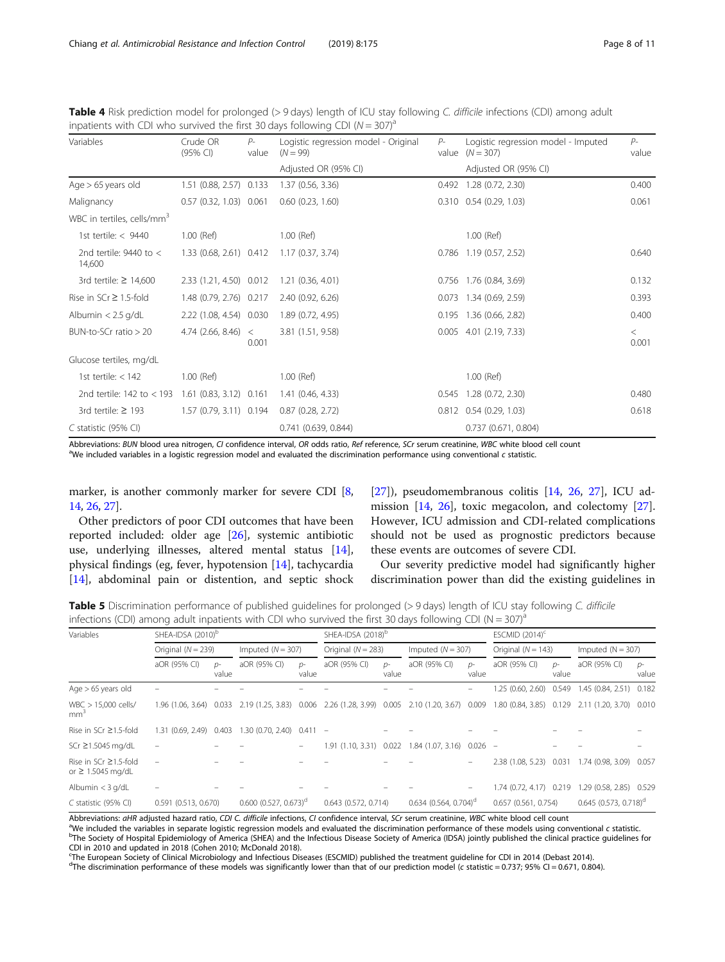| Variables                                         | Crude OR<br>(95% CI)          | $P-$<br>value | Logistic regression model - Original<br>$P-$<br>$(N = 99)$<br>value |  | Logistic regression model - Imputed<br>$(N = 307)$ | $P-$<br>value  |
|---------------------------------------------------|-------------------------------|---------------|---------------------------------------------------------------------|--|----------------------------------------------------|----------------|
|                                                   |                               |               | Adjusted OR (95% CI)                                                |  | Adjusted OR (95% CI)                               |                |
| Age $> 65$ years old                              | 1.51 (0.88, 2.57) 0.133       |               | 1.37 (0.56, 3.36)                                                   |  | $0.492$ 1.28 $(0.72, 2.30)$                        | 0.400          |
| Malignancy                                        | $0.57$ $(0.32, 1.03)$ $0.061$ |               | $0.60$ $(0.23, 1.60)$                                               |  | $0.310$ $0.54$ $(0.29, 1.03)$                      | 0.061          |
| WBC in tertiles, cells/mm <sup>3</sup>            |                               |               |                                                                     |  |                                                    |                |
| 1st tertile: $< 9440$                             | 1.00 (Ref)                    |               | 1.00 (Ref)                                                          |  | 1.00 (Ref)                                         |                |
| 2nd tertile: $9440$ to $<$<br>14,600              | 1.33 (0.68, 2.61) 0.412       |               | 1.17(0.37, 3.74)                                                    |  | $0.786$ 1.19 (0.57, 2.52)                          | 0.640          |
| 3rd tertile: $\geq$ 14,600                        | 2.33 (1.21, 4.50) 0.012       |               | $1.21$ (0.36, 4.01)                                                 |  | 0.756 1.76 (0.84, 3.69)                            | 0.132          |
| Rise in $SCr \geq 1.5$ -fold                      | 1.48 (0.79, 2.76) 0.217       |               | 2.40 (0.92, 6.26)                                                   |  | $0.073$ 1.34 (0.69, 2.59)                          | 0.393          |
| Albumin $< 2.5$ g/dL                              | 2.22 (1.08, 4.54) 0.030       |               | 1.89 (0.72, 4.95)                                                   |  | 0.195 1.36 (0.66, 2.82)                            | 0.400          |
| BUN-to-SCr ratio $> 20$                           | 4.74(2.66, 8.46) <            | 0.001         | 3.81 (1.51, 9.58)                                                   |  | $0.005$ 4.01 (2.19, 7.33)                          | $\lt$<br>0.001 |
| Glucose tertiles, mg/dL                           |                               |               |                                                                     |  |                                                    |                |
| 1st tertile: $<$ 142                              | 1.00 (Ref)                    |               | 1.00 (Ref)                                                          |  | 1.00 (Ref)                                         |                |
| 2nd tertile: 142 to < 193 1.61 (0.83, 3.12) 0.161 |                               |               | 1.41 (0.46, 4.33)                                                   |  | $0.545$ 1.28 (0.72, 2.30)                          | 0.480          |
| 3rd tertile: $\geq$ 193                           | 1.57 (0.79, 3.11) 0.194       |               | $0.87$ (0.28, 2.72)                                                 |  | 0.812 0.54 (0.29, 1.03)                            | 0.618          |
| $C$ statistic (95% CI)                            |                               |               | 0.741(0.639, 0.844)                                                 |  | 0.737(0.671, 0.804)                                |                |

<span id="page-7-0"></span>Table 4 Risk prediction model for prolonged (> 9 days) length of ICU stay following C. difficile infections (CDI) among adult inpatients with CDI who survived the first 30 days following CDI ( $N = 307$ )<sup>a</sup>

Abbreviations: BUN blood urea nitrogen, CI confidence interval, OR odds ratio, Ref reference, SCr serum creatinine, WBC white blood cell count aWe included variables in a logistic regression model and evaluated the discrimination performance using conventional c statistic.

marker, is another commonly marker for severe CDI [[8](#page-9-0), [14](#page-9-0), [26,](#page-9-0) [27](#page-9-0)].

Other predictors of poor CDI outcomes that have been reported included: older age [\[26](#page-9-0)], systemic antibiotic use, underlying illnesses, altered mental status [\[14](#page-9-0)], physical findings (eg, fever, hypotension [\[14\]](#page-9-0), tachycardia [[14\]](#page-9-0), abdominal pain or distention, and septic shock [[27\]](#page-9-0)), pseudomembranous colitis [\[14](#page-9-0), [26,](#page-9-0) [27\]](#page-9-0), ICU admission [[14](#page-9-0), [26\]](#page-9-0), toxic megacolon, and colectomy [\[27](#page-9-0)]. However, ICU admission and CDI-related complications should not be used as prognostic predictors because these events are outcomes of severe CDI.

Our severity predictive model had significantly higher discrimination power than did the existing guidelines in

**Table 5** Discrimination performance of published quidelines for prolonged (> 9 days) length of ICU stay following C. difficile infections (CDI) among adult inpatients with CDI who survived the first 30 days following CDI (N =  $307^{\circ}$ 

| Variables                                             |                        | SHEA-IDSA (2010) <sup>b</sup><br>SHEA-IDSA (2018) <sup>b</sup> |                                    |                          |                         |                      |                                           | ESCMID $(2014)^c$   |                          |                        |                                     |                     |  |
|-------------------------------------------------------|------------------------|----------------------------------------------------------------|------------------------------------|--------------------------|-------------------------|----------------------|-------------------------------------------|---------------------|--------------------------|------------------------|-------------------------------------|---------------------|--|
|                                                       |                        | Original $(N = 239)$                                           |                                    | Imputed $(N = 307)$      |                         | Original $(N = 283)$ |                                           | Imputed $(N = 307)$ |                          | Original ( $N = 143$ ) |                                     | Imputed $(N = 307)$ |  |
|                                                       | aOR (95% CI)           | $D^-$<br>value                                                 | aOR (95% CI)                       | $D^-$<br>value           | aOR (95% CI)            | $D^-$<br>value       | aOR (95% CI)                              | $D^-$<br>value      | aOR (95% CI)             | D-<br>value            | aOR (95% CI)                        | $D^-$<br>value      |  |
| Age $> 65$ years old                                  |                        |                                                                |                                    |                          |                         |                      |                                           |                     | 1.25 (0.60, 2.60)        | 0.549                  | 1.45 (0.84, 2.51)                   | 0.182               |  |
| $WBC > 15,000$ cells/<br>mm <sup>3</sup>              | 1.96 (1.06, 3.64)      | 0.033                                                          | 2.19 (1.25, 3.83)                  | 0.006                    |                         |                      | 2.26 (1.28, 3.99) 0.005 2.10 (1.20, 3.67) | 0.009               | 1.80 (0.84, 3.85)        | 0.129                  | 2.11 (1.20, 3.70)                   | 0.010               |  |
| Rise in SCr $\geq$ 1.5-fold                           | 1.31 (0.69, 2.49)      | 0.403                                                          | $1.30(0.70, 2.40)$ 0.411 -         |                          |                         |                      |                                           |                     |                          |                        |                                     |                     |  |
| SCr ≥1.5045 mg/dL                                     |                        |                                                                |                                    |                          | 1.91 (1.10, 3.31) 0.022 |                      | $1.84$ (1.07, 3.16) 0.026 -               |                     |                          |                        |                                     |                     |  |
| Rise in SCr $\geq$ 1.5-fold<br>or $\geq$ 1.5045 mg/dL |                        |                                                                |                                    |                          |                         |                      |                                           |                     | 2.38 (1.08, 5.23)        | 0.031                  | 1.74 (0.98, 3.09)                   | 0.057               |  |
| Albumin $<$ 3 g/dL                                    |                        |                                                                |                                    |                          |                         |                      |                                           |                     | 1.74 (0.72, 4.17) 0.219  |                        | 1.29 (0.58, 2.85)                   | 0.529               |  |
| C statistic (95% CI)                                  | $0.591$ (0.513, 0.670) |                                                                | $0.600(0.527, 0.673)$ <sup>d</sup> | $0.643$ $(0.572, 0.714)$ |                         |                      | $0.634$ (0.564, 0.704) <sup>d</sup>       |                     | $0.657$ $(0.561, 0.754)$ |                        | $0.645$ (0.573, 0.718) <sup>d</sup> |                     |  |

Abbreviations: aHR adjusted hazard ratio, CDI C. difficile infections, CI confidence interval, SCr serum creatinine, WBC white blood cell count<br><sup>a</sup>We included the variables in separate logistic regression models and evalua <sup>a</sup>We included the variables in separate logistic regression models and evaluated the discrimination performance of these models using conventional *c* statistic.<br><sup>b</sup>The Society of Hospital Epidemiology of America (SHEA) a CDI in 2010 and updated in 2018 (Cohen 2010; McDonald 2018).

c The European Society of Clinical Microbiology and Infectious Diseases (ESCMID) published the treatment guideline for CDI in 2014 (Debast 2014).

<sup>d</sup>The discrimination performance of these models was significantly lower than that of our prediction model (c statistic = 0.737; 95% CI = 0.671, 0.804).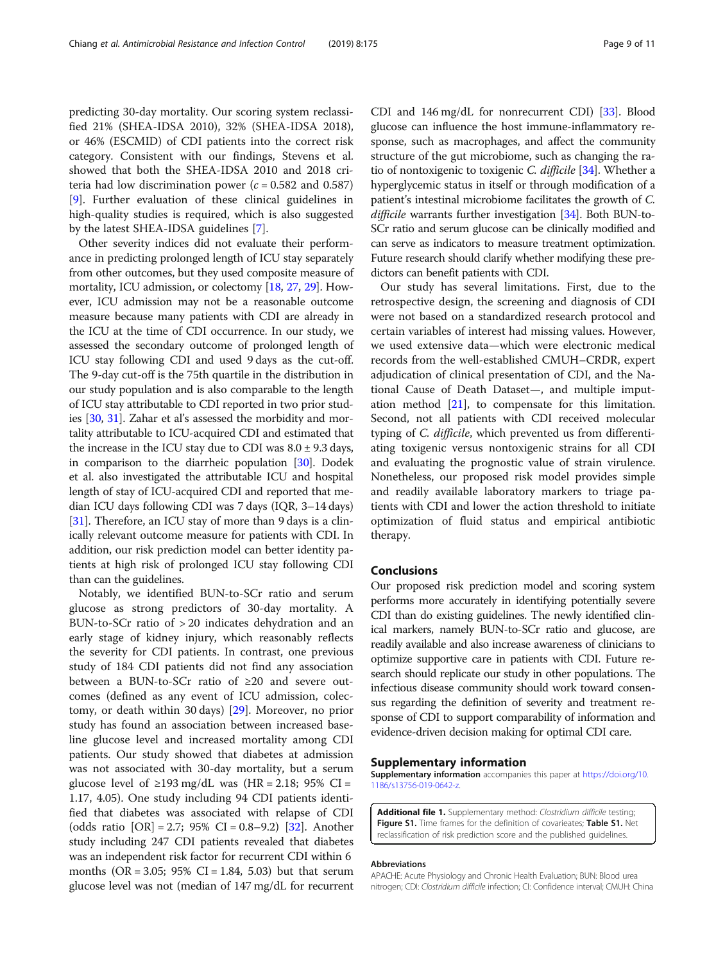<span id="page-8-0"></span>predicting 30-day mortality. Our scoring system reclassified 21% (SHEA-IDSA 2010), 32% (SHEA-IDSA 2018), or 46% (ESCMID) of CDI patients into the correct risk category. Consistent with our findings, Stevens et al. showed that both the SHEA-IDSA 2010 and 2018 criteria had low discrimination power ( $c = 0.582$  and 0.587) [[9\]](#page-9-0). Further evaluation of these clinical guidelines in high-quality studies is required, which is also suggested by the latest SHEA-IDSA guidelines [\[7](#page-9-0)].

Other severity indices did not evaluate their performance in predicting prolonged length of ICU stay separately from other outcomes, but they used composite measure of mortality, ICU admission, or colectomy [\[18,](#page-9-0) [27](#page-9-0), [29\]](#page-10-0). However, ICU admission may not be a reasonable outcome measure because many patients with CDI are already in the ICU at the time of CDI occurrence. In our study, we assessed the secondary outcome of prolonged length of ICU stay following CDI and used 9 days as the cut-off. The 9-day cut-off is the 75th quartile in the distribution in our study population and is also comparable to the length of ICU stay attributable to CDI reported in two prior studies [\[30,](#page-10-0) [31\]](#page-10-0). Zahar et al's assessed the morbidity and mortality attributable to ICU-acquired CDI and estimated that the increase in the ICU stay due to CDI was  $8.0 \pm 9.3$  days, in comparison to the diarrheic population [\[30\]](#page-10-0). Dodek et al. also investigated the attributable ICU and hospital length of stay of ICU-acquired CDI and reported that median ICU days following CDI was 7 days (IQR, 3–14 days) [[31](#page-10-0)]. Therefore, an ICU stay of more than 9 days is a clinically relevant outcome measure for patients with CDI. In addition, our risk prediction model can better identity patients at high risk of prolonged ICU stay following CDI than can the guidelines.

Notably, we identified BUN-to-SCr ratio and serum glucose as strong predictors of 30-day mortality. A BUN-to-SCr ratio of > 20 indicates dehydration and an early stage of kidney injury, which reasonably reflects the severity for CDI patients. In contrast, one previous study of 184 CDI patients did not find any association between a BUN-to-SCr ratio of ≥20 and severe outcomes (defined as any event of ICU admission, colectomy, or death within 30 days) [\[29](#page-10-0)]. Moreover, no prior study has found an association between increased baseline glucose level and increased mortality among CDI patients. Our study showed that diabetes at admission was not associated with 30-day mortality, but a serum glucose level of ≥193 mg/dL was (HR = 2.18; 95% CI = 1.17, 4.05). One study including 94 CDI patients identified that diabetes was associated with relapse of CDI (odds ratio  $[OR] = 2.7$ ; 95% CI = 0.8–9.2) [\[32](#page-10-0)]. Another study including 247 CDI patients revealed that diabetes was an independent risk factor for recurrent CDI within 6 months  $(OR = 3.05; 95\% CI = 1.84, 5.03)$  but that serum glucose level was not (median of 147 mg/dL for recurrent

CDI and 146 mg/dL for nonrecurrent CDI) [[33](#page-10-0)]. Blood glucose can influence the host immune-inflammatory response, such as macrophages, and affect the community structure of the gut microbiome, such as changing the ra-tio of nontoxigenic to toxigenic C. difficile [\[34](#page-10-0)]. Whether a hyperglycemic status in itself or through modification of a patient's intestinal microbiome facilitates the growth of C. difficile warrants further investigation [\[34](#page-10-0)]. Both BUN-to-SCr ratio and serum glucose can be clinically modified and can serve as indicators to measure treatment optimization. Future research should clarify whether modifying these predictors can benefit patients with CDI.

Our study has several limitations. First, due to the retrospective design, the screening and diagnosis of CDI were not based on a standardized research protocol and certain variables of interest had missing values. However, we used extensive data—which were electronic medical records from the well-established CMUH–CRDR, expert adjudication of clinical presentation of CDI, and the National Cause of Death Dataset—, and multiple imputation method [[21\]](#page-9-0), to compensate for this limitation. Second, not all patients with CDI received molecular typing of C. difficile, which prevented us from differentiating toxigenic versus nontoxigenic strains for all CDI and evaluating the prognostic value of strain virulence. Nonetheless, our proposed risk model provides simple and readily available laboratory markers to triage patients with CDI and lower the action threshold to initiate optimization of fluid status and empirical antibiotic therapy.

# Conclusions

Our proposed risk prediction model and scoring system performs more accurately in identifying potentially severe CDI than do existing guidelines. The newly identified clinical markers, namely BUN-to-SCr ratio and glucose, are readily available and also increase awareness of clinicians to optimize supportive care in patients with CDI. Future research should replicate our study in other populations. The infectious disease community should work toward consensus regarding the definition of severity and treatment response of CDI to support comparability of information and evidence-driven decision making for optimal CDI care.

# Supplementary information

Supplementary information accompanies this paper at [https://doi.org/10.](https://doi.org/10.1186/s13756-019-0642-z) [1186/s13756-019-0642-z](https://doi.org/10.1186/s13756-019-0642-z).

Additional file 1. Supplementary method: Clostridium difficile testing; Figure S1. Time frames for the definition of covarieates; Table S1. Net reclassification of risk prediction score and the published guidelines.

#### Abbreviations

APACHE: Acute Physiology and Chronic Health Evaluation; BUN: Blood urea nitrogen; CDI: Clostridium difficile infection; CI: Confidence interval; CMUH: China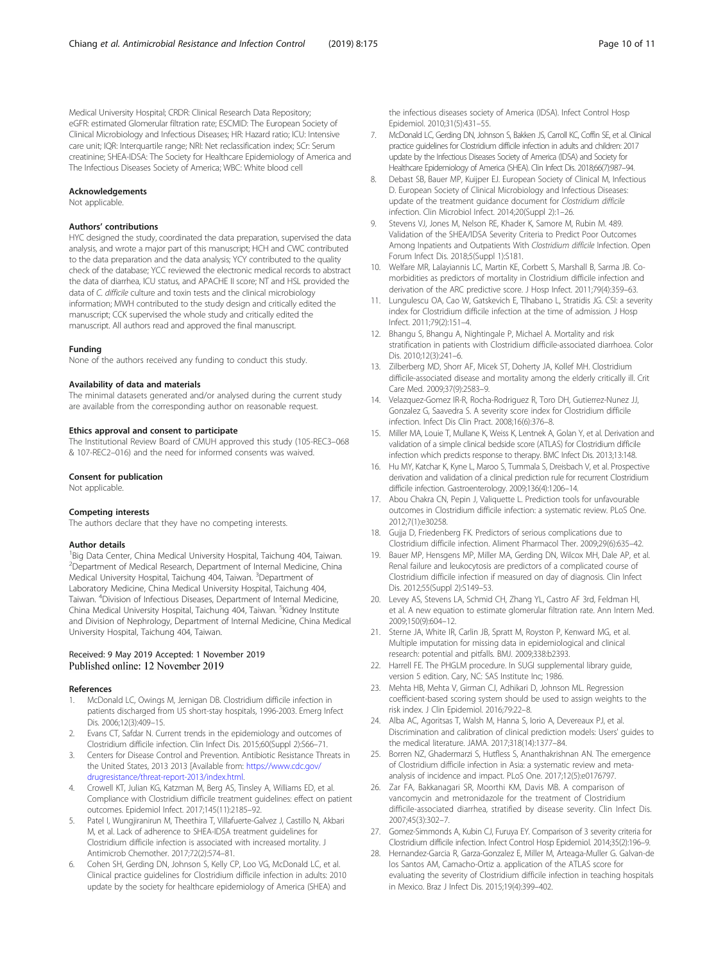<span id="page-9-0"></span>Medical University Hospital; CRDR: Clinical Research Data Repository; eGFR: estimated Glomerular filtration rate; ESCMID: The European Society of Clinical Microbiology and Infectious Diseases; HR: Hazard ratio; ICU: Intensive care unit; IQR: Interquartile range; NRI: Net reclassification index; SCr: Serum creatinine; SHEA-IDSA: The Society for Healthcare Epidemiology of America and The Infectious Diseases Society of America; WBC: White blood cell

## Acknowledgements

Not applicable.

#### Authors' contributions

HYC designed the study, coordinated the data preparation, supervised the data analysis, and wrote a major part of this manuscript; HCH and CWC contributed to the data preparation and the data analysis; YCY contributed to the quality check of the database; YCC reviewed the electronic medical records to abstract the data of diarrhea, ICU status, and APACHE II score; NT and HSL provided the data of C. difficile culture and toxin tests and the clinical microbiology information; MWH contributed to the study design and critically edited the manuscript; CCK supervised the whole study and critically edited the manuscript. All authors read and approved the final manuscript.

#### Funding

None of the authors received any funding to conduct this study.

#### Availability of data and materials

The minimal datasets generated and/or analysed during the current study are available from the corresponding author on reasonable request.

# Ethics approval and consent to participate

The Institutional Review Board of CMUH approved this study (105-REC3–068 & 107-REC2–016) and the need for informed consents was waived.

#### Consent for publication

Not applicable.

#### Competing interests

The authors declare that they have no competing interests.

#### Author details

<sup>1</sup> Big Data Center, China Medical University Hospital, Taichung 404, Taiwan. 2 Department of Medical Research, Department of Internal Medicine, China Medical University Hospital, Taichung 404, Taiwan. <sup>3</sup>Department of Laboratory Medicine, China Medical University Hospital, Taichung 404, Taiwan. <sup>4</sup> Division of Infectious Diseases, Department of Internal Medicine, China Medical University Hospital, Taichung 404, Taiwan. <sup>5</sup>Kidney Institute and Division of Nephrology, Department of Internal Medicine, China Medical University Hospital, Taichung 404, Taiwan.

#### Received: 9 May 2019 Accepted: 1 November 2019 Published online: 12 November 2019

#### References

- 1. McDonald LC, Owings M, Jernigan DB. Clostridium difficile infection in patients discharged from US short-stay hospitals, 1996-2003. Emerg Infect Dis. 2006;12(3):409–15.
- 2. Evans CT, Safdar N. Current trends in the epidemiology and outcomes of Clostridium difficile infection. Clin Infect Dis. 2015;60(Suppl 2):S66–71.
- 3. Centers for Disease Control and Prevention. Antibiotic Resistance Threats in the United States, 2013 2013 [Available from: [https://www.cdc.gov/](https://www.cdc.gov/drugresistance/threat-report-2013/index.html) [drugresistance/threat-report-2013/index.html.](https://www.cdc.gov/drugresistance/threat-report-2013/index.html)
- 4. Crowell KT, Julian KG, Katzman M, Berg AS, Tinsley A, Williams ED, et al. Compliance with Clostridium difficile treatment guidelines: effect on patient outcomes. Epidemiol Infect. 2017;145(11):2185–92.
- 5. Patel I, Wungjiranirun M, Theethira T, Villafuerte-Galvez J, Castillo N, Akbari M, et al. Lack of adherence to SHEA-IDSA treatment guidelines for Clostridium difficile infection is associated with increased mortality. J Antimicrob Chemother. 2017;72(2):574–81.
- Cohen SH, Gerding DN, Johnson S, Kelly CP, Loo VG, McDonald LC, et al. Clinical practice guidelines for Clostridium difficile infection in adults: 2010 update by the society for healthcare epidemiology of America (SHEA) and

the infectious diseases society of America (IDSA). Infect Control Hosp Epidemiol. 2010;31(5):431–55.

- 7. McDonald LC, Gerding DN, Johnson S, Bakken JS, Carroll KC, Coffin SE, et al. Clinical practice guidelines for Clostridium difficile infection in adults and children: 2017 update by the Infectious Diseases Society of America (IDSA) and Society for Healthcare Epidemiology of America (SHEA). Clin Infect Dis. 2018;66(7):987–94.
- Debast SB, Bauer MP, Kuijper EJ. European Society of Clinical M, Infectious D. European Society of Clinical Microbiology and Infectious Diseases: update of the treatment guidance document for Clostridium difficile infection. Clin Microbiol Infect. 2014;20(Suppl 2):1–26.
- 9. Stevens VJ, Jones M, Nelson RE, Khader K, Samore M, Rubin M. 489. Validation of the SHEA/IDSA Severity Criteria to Predict Poor Outcomes Among Inpatients and Outpatients With Clostridium difficile Infection. Open Forum Infect Dis. 2018;5(Suppl 1):S181.
- 10. Welfare MR, Lalayiannis LC, Martin KE, Corbett S, Marshall B, Sarma JB. Comorbidities as predictors of mortality in Clostridium difficile infection and derivation of the ARC predictive score. J Hosp Infect. 2011;79(4):359–63.
- 11. Lungulescu OA, Cao W, Gatskevich E, Tlhabano L, Stratidis JG. CSI: a severity index for Clostridium difficile infection at the time of admission. J Hosp Infect. 2011;79(2):151–4.
- 12. Bhangu S, Bhangu A, Nightingale P, Michael A. Mortality and risk stratification in patients with Clostridium difficile-associated diarrhoea. Color Dis. 2010;12(3):241–6.
- 13. Zilberberg MD, Shorr AF, Micek ST, Doherty JA, Kollef MH. Clostridium difficile-associated disease and mortality among the elderly critically ill. Crit Care Med. 2009;37(9):2583–9.
- 14. Velazquez-Gomez IR-R, Rocha-Rodriguez R, Toro DH, Gutierrez-Nunez JJ, Gonzalez G, Saavedra S. A severity score index for Clostridium difficile infection. Infect Dis Clin Pract. 2008;16(6):376–8.
- 15. Miller MA, Louie T, Mullane K, Weiss K, Lentnek A, Golan Y, et al. Derivation and validation of a simple clinical bedside score (ATLAS) for Clostridium difficile infection which predicts response to therapy. BMC Infect Dis. 2013;13:148.
- 16. Hu MY, Katchar K, Kyne L, Maroo S, Tummala S, Dreisbach V, et al. Prospective derivation and validation of a clinical prediction rule for recurrent Clostridium difficile infection. Gastroenterology. 2009;136(4):1206–14.
- 17. Abou Chakra CN, Pepin J, Valiquette L. Prediction tools for unfavourable outcomes in Clostridium difficile infection: a systematic review. PLoS One. 2012;7(1):e30258.
- 18. Gujja D, Friedenberg FK. Predictors of serious complications due to Clostridium difficile infection. Aliment Pharmacol Ther. 2009;29(6):635–42.
- 19. Bauer MP, Hensgens MP, Miller MA, Gerding DN, Wilcox MH, Dale AP, et al. Renal failure and leukocytosis are predictors of a complicated course of Clostridium difficile infection if measured on day of diagnosis. Clin Infect Dis. 2012;55(Suppl 2):S149–53.
- 20. Levey AS, Stevens LA, Schmid CH, Zhang YL, Castro AF 3rd, Feldman HI, et al. A new equation to estimate glomerular filtration rate. Ann Intern Med. 2009;150(9):604–12.
- 21. Sterne JA, White IR, Carlin JB, Spratt M, Royston P, Kenward MG, et al. Multiple imputation for missing data in epidemiological and clinical research: potential and pitfalls. BMJ. 2009;338:b2393.
- 22. Harrell FE. The PHGLM procedure. In SUGI supplemental library guide, version 5 edition. Cary, NC: SAS Institute Inc; 1986.
- 23. Mehta HB, Mehta V, Girman CJ, Adhikari D, Johnson ML. Regression coefficient-based scoring system should be used to assign weights to the risk index. J Clin Epidemiol. 2016;79:22–8.
- 24. Alba AC, Agoritsas T, Walsh M, Hanna S, Iorio A, Devereaux PJ, et al. Discrimination and calibration of clinical prediction models: Users' guides to the medical literature. JAMA. 2017;318(14):1377–84.
- 25. Borren NZ, Ghadermarzi S, Hutfless S, Ananthakrishnan AN. The emergence of Clostridium difficile infection in Asia: a systematic review and metaanalysis of incidence and impact. PLoS One. 2017;12(5):e0176797.
- 26. Zar FA, Bakkanagari SR, Moorthi KM, Davis MB. A comparison of vancomycin and metronidazole for the treatment of Clostridium difficile-associated diarrhea, stratified by disease severity. Clin Infect Dis. 2007;45(3):302–7.
- 27. Gomez-Simmonds A, Kubin CJ, Furuya EY. Comparison of 3 severity criteria for Clostridium difficile infection. Infect Control Hosp Epidemiol. 2014;35(2):196–9.
- 28. Hernandez-Garcia R, Garza-Gonzalez E, Miller M, Arteaga-Muller G. Galvan-de los Santos AM, Camacho-Ortiz a. application of the ATLAS score for evaluating the severity of Clostridium difficile infection in teaching hospitals in Mexico. Braz J Infect Dis. 2015;19(4):399–402.